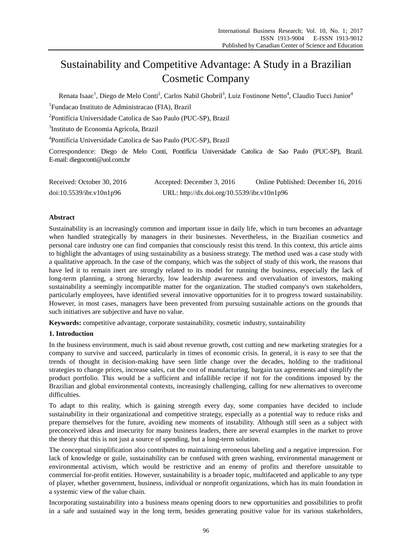# Sustainability and Competitive Advantage: A Study in a Brazilian Cosmetic Company

Renata Isaac<sup>1</sup>, Diego de Melo Conti<sup>2</sup>, Carlos Nabil Ghobril<sup>3</sup>, Luiz Fostinone Netto<sup>4</sup>, Claudio Tucci Junior<sup>4</sup>

<sup>1</sup>Fundacao Instituto de Administracao (FIA), Brazil

<sup>2</sup>Pontif *tia* Universidade Catolica de Sao Paulo (PUC-SP), Brazil

<sup>3</sup>Instituto de Economia Agr **é**ola, Brazil

<sup>4</sup>Pontif *tia* Universidade Catolica de Sao Paulo (PUC-SP), Brazil

Correspondence: Diego de Melo Conti, Pontifícia Universidade Catolica de Sao Paulo (PUC-SP), Brazil. E-mail: diegoconti@uol.com.br

| Received: October 30, 2016 | Accepted: December 3, 2016                  | Online Published: December 16, 2016 |
|----------------------------|---------------------------------------------|-------------------------------------|
| doi:10.5539/ibr.v10n1p96   | URL: http://dx.doi.org/10.5539/ibr.v10n1p96 |                                     |

## **Abstract**

Sustainability is an increasingly common and important issue in daily life, which in turn becomes an advantage when handled strategically by managers in their businesses. Nevertheless, in the Brazilian cosmetics and personal care industry one can find companies that consciously resist this trend. In this context, this article aims to highlight the advantages of using sustainability as a business strategy. The method used was a case study with a qualitative approach. In the case of the company, which was the subject of study of this work, the reasons that have led it to remain inert are strongly related to its model for running the business, especially the lack of long-term planning, a strong hierarchy, low leadership awareness and overvaluation of investors, making sustainability a seemingly incompatible matter for the organization. The studied company's own stakeholders, particularly employees, have identified several innovative opportunities for it to progress toward sustainability. However, in most cases, managers have been prevented from pursuing sustainable actions on the grounds that such initiatives are subjective and have no value.

**Keywords:** competitive advantage, corporate sustainability, cosmetic industry, sustainability

# **1. Introduction**

In the business environment, much is said about revenue growth, cost cutting and new marketing strategies for a company to survive and succeed, particularly in times of economic crisis. In general, it is easy to see that the trends of thought in decision-making have seen little change over the decades, holding to the traditional strategies to change prices, increase sales, cut the cost of manufacturing, bargain tax agreements and simplify the product portfolio. This would be a sufficient and infallible recipe if not for the conditions imposed by the Brazilian and global environmental contexts, increasingly challenging, calling for new alternatives to overcome difficulties.

To adapt to this reality, which is gaining strength every day, some companies have decided to include sustainability in their organizational and competitive strategy, especially as a potential way to reduce risks and prepare themselves for the future, avoiding new moments of instability. Although still seen as a subject with preconceived ideas and insecurity for many business leaders, there are several examples in the market to prove the theory that this is not just a source of spending, but a long-term solution.

The conceptual simplification also contributes to maintaining erroneous labeling and a negative impression. For lack of knowledge or guile, sustainability can be confused with green washing, environmental management or environmental activism, which would be restrictive and an enemy of profits and therefore unsuitable to commercial for-profit entities. However, sustainability is a broader topic, multifaceted and applicable to any type of player, whether government, business, individual or nonprofit organizations, which has its main foundation in a systemic view of the value chain.

Incorporating sustainability into a business means opening doors to new opportunities and possibilities to profit in a safe and sustained way in the long term, besides generating positive value for its various stakeholders,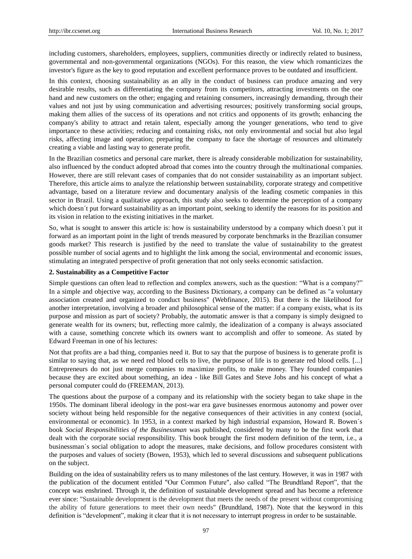including customers, shareholders, employees, suppliers, communities directly or indirectly related to business, governmental and non-governmental organizations (NGOs). For this reason, the view which romanticizes the investor's figure as the key to good reputation and excellent performance proves to be outdated and insufficient.

In this context, choosing sustainability as an ally in the conduct of business can produce amazing and very desirable results, such as differentiating the company from its competitors, attracting investments on the one hand and new customers on the other; engaging and retaining consumers, increasingly demanding, through their values and not just by using communication and advertising resources; positively transforming social groups, making them allies of the success of its operations and not critics and opponents of its growth; enhancing the company's ability to attract and retain talent, especially among the younger generations, who tend to give importance to these activities; reducing and containing risks, not only environmental and social but also legal risks, affecting image and operation; preparing the company to face the shortage of resources and ultimately creating a viable and lasting way to generate profit.

In the Brazilian cosmetics and personal care market, there is already considerable mobilization for sustainability, also influenced by the conduct adopted abroad that comes into the country through the multinational companies. However, there are still relevant cases of companies that do not consider sustainability as an important subject. Therefore, this article aims to analyze the relationship between sustainability, corporate strategy and competitive advantage, based on a literature review and documentary analysis of the leading cosmetic companies in this sector in Brazil. Using a qualitative approach, this study also seeks to determine the perception of a company which doesn't put forward sustainability as an important point, seeking to identify the reasons for its position and its vision in relation to the existing initiatives in the market.

So, what is sought to answer this article is: how is sustainability understood by a company which doesn  $t$  put it forward as an important point in the light of trends measured by corporate benchmarks in the Brazilian consumer goods market? This research is justified by the need to translate the value of sustainability to the greatest possible number of social agents and to highlight the link among the social, environmental and economic issues, stimulating an integrated perspective of profit generation that not only seeks economic satisfaction.

#### **2. Sustainability as a Competitive Factor**

Simple questions can often lead to reflection and complex answers, such as the question: "What is a company?" In a simple and objective way, according to the Business Dictionary, a company can be defined as "a voluntary association created and organized to conduct business" (Webfinance, 2015). But there is the likelihood for another interpretation, involving a broader and philosophical sense of the matter: if a company exists, what is its purpose and mission as part of society? Probably, the automatic answer is that a company is simply designed to generate wealth for its owners; but, reflecting more calmly, the idealization of a company is always associated with a cause, something concrete which its owners want to accomplish and offer to someone. As stated by Edward Freeman in one of his lectures:

Not that profits are a bad thing, companies need it. But to say that the purpose of business is to generate profit is similar to saying that, as we need red blood cells to live, the purpose of life is to generate red blood cells. [...] Entrepreneurs do not just merge companies to maximize profits, to make money. They founded companies because they are excited about something, an idea - like Bill Gates and Steve Jobs and his concept of what a personal computer could do (FREEMAN, 2013).

The questions about the purpose of a company and its relationship with the society began to take shape in the 1950s. The dominant liberal ideology in the post-war era gave businesses enormous autonomy and power over society without being held responsible for the negative consequences of their activities in any context (social, environmental or economic). In 1953, in a context marked by high industrial expansion, Howard R. Bowen´s book *Social Responsibilities of the Businessman* was published, considered by many to be the first work that dealt with the corporate social responsibility. This book brought the first modern definition of the term, i.e., a businessman´s social obligation to adopt the measures, make decisions, and follow procedures consistent with the purposes and values of society (Bowen, 1953), which led to several discussions and subsequent publications on the subject.

Building on the idea of sustainability refers us to many milestones of the last century. However, it was in 1987 with the publication of the document entitled "Our Common Future", also called "The Brundtland Report", that the concept was enshrined. Through it, the definition of sustainable development spread and has become a reference ever since: "Sustainable development is the development that meets the needs of the present without compromising the ability of future generations to meet their own needs" (Brundtland, 1987). Note that the keyword in this definition is "development", making it clear that it is not necessary to interrupt progress in order to be sustainable.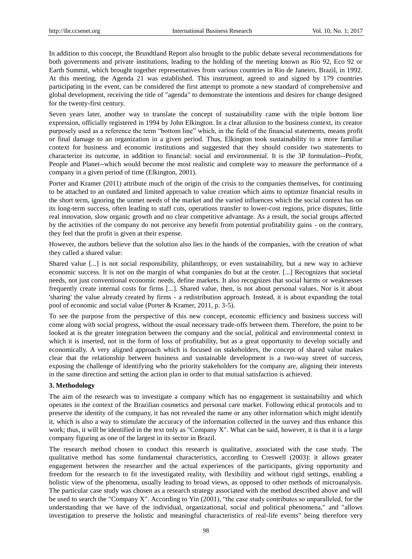In addition to this concept, the Brundtland Report also brought to the public debate several recommendations for both governments and private institutions, leading to the holding of the meeting known as Rio 92, Eco 92 or Earth Summit, which brought together representatives from various countries in Rio de Janeiro, Brazil, in 1992. At this meeting, the Agenda 21 was established. This instrument, agreed to and signed by 179 countries participating in the event, can be considered the first attempt to promote a new standard of comprehensive and global development, receiving the title of "agenda" to demonstrate the intentions and desires for change designed for the twenty-first century.

Seven years later, another way to translate the concept of sustainability came with the triple bottom line expression, officially registered in 1994 by John Elkington. In a clear allusion to the business context, its creator purposely used as a reference the term "bottom line" which, in the field of the financial statements, means profit or final damage to an organization in a given period. Thus, Elkington took sustainability to a more familiar context for business and economic institutions and suggested that they should consider two statements to characterize its outcome, in addition to financial: social and environmental. It is the 3P formulation--Profit, People and Planet--which would become the most realistic and complete way to measure the performance of a company in a given period of time (Elkington, 2001).

Porter and Kramer (2011) attribute much of the origin of the crisis to the companies themselves, for continuing to be attached to an outdated and limited approach to value creation which aims to optimize financial results in the short term, ignoring the unmet needs of the market and the varied influences which the social context has on its long-term success, often leading to staff cuts, operations transfer to lower-cost regions, price disputes, little real innovation, slow organic growth and no clear competitive advantage. As a result, the social groups affected by the activities of the company do not perceive any benefit from potential profitability gains - on the contrary, they feel that the profit is given at their expense.

However, the authors believe that the solution also lies in the hands of the companies, with the creation of what they called a shared value:

Shared value [...] is not social responsibility, philanthropy, or even sustainability, but a new way to achieve economic success. It is not on the margin of what companies do but at the center. [...] Recognizes that societal needs, not just conventional economic needs, define markets. It also recognizes that social harms or weaknesses frequently create internal costs for firms [...]. Shared value, then, is not about personal values. Nor is it about 'sharing' the value already created by firms - a redistribution approach. Instead, it is about expanding the total pool of economic and social value (Porter & Kramer, 2011, p. 3-5).

To see the purpose from the perspective of this new concept, economic efficiency and business success will come along with social progress, without the usual necessary trade-offs between them. Therefore, the point to be looked at is the greater integration between the company and the social, political and environmental context in which it is inserted, not in the form of loss of profitability, but as a great opportunity to develop socially and economically. A very aligned approach which is focused on stakeholders, the concept of shared value makes clear that the relationship between business and sustainable development is a two-way street of success, exposing the challenge of identifying who the priority stakeholders for the company are, aligning their interests in the same direction and setting the action plan in order to that mutual satisfaction is achieved.

#### **3. Methodology**

The aim of the research was to investigate a company which has no engagement in sustainability and which operates in the context of the Brazilian cosmetics and personal care market. Following ethical protocols and to preserve the identity of the company, it has not revealed the name or any other information which might identify it, which is also a way to stimulate the accuracy of the information collected in the survey and thus enhance this work; thus, it will be identified in the text only as "Company X". What can be said, however, it is that it is a large company figuring as one of the largest in its sector in Brazil.

The research method chosen to conduct this research is qualitative, associated with the case study. The qualitative method has some fundamental characteristics, according to Creswell (2003): it allows greater engagement between the researcher and the actual experiences of the participants, giving opportunity and freedom for the research to fit the investigated reality, with flexibility and without rigid settings, enabling a holistic view of the phenomena, usually leading to broad views, as opposed to other methods of microanalysis. The particular case study was chosen as a research strategy associated with the method described above and will be used to search the "Company X". According to Yin (2001), "the case study contributes so unparalleled, for the understanding that we have of the individual, organizational, social and political phenomena," and "allows investigation to preserve the holistic and meaningful characteristics of real-life events" being therefore very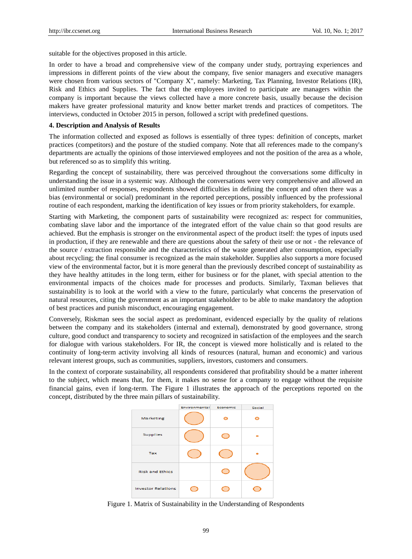suitable for the objectives proposed in this article.

In order to have a broad and comprehensive view of the company under study, portraying experiences and impressions in different points of the view about the company, five senior managers and executive managers were chosen from various sectors of "Company X", namely: Marketing, Tax Planning, Investor Relations (IR), Risk and Ethics and Supplies. The fact that the employees invited to participate are managers within the company is important because the views collected have a more concrete basis, usually because the decision makers have greater professional maturity and know better market trends and practices of competitors. The interviews, conducted in October 2015 in person, followed a script with predefined questions.

#### **4. Description and Analysis of Results**

The information collected and exposed as follows is essentially of three types: definition of concepts, market practices (competitors) and the posture of the studied company. Note that all references made to the company's departments are actually the opinions of those interviewed employees and not the position of the area as a whole, but referenced so as to simplify this writing.

Regarding the concept of sustainability, there was perceived throughout the conversations some difficulty in understanding the issue in a systemic way. Although the conversations were very comprehensive and allowed an unlimited number of responses, respondents showed difficulties in defining the concept and often there was a bias (environmental or social) predominant in the reported perceptions, possibly influenced by the professional routine of each respondent, marking the identification of key issues or from priority stakeholders, for example.

Starting with Marketing, the component parts of sustainability were recognized as: respect for communities, combating slave labor and the importance of the integrated effort of the value chain so that good results are achieved. But the emphasis is stronger on the environmental aspect of the product itself: the types of inputs used in production, if they are renewable and there are questions about the safety of their use or not - the relevance of the source / extraction responsible and the characteristics of the waste generated after consumption, especially about recycling; the final consumer is recognized as the main stakeholder. Supplies also supports a more focused view of the environmental factor, but it is more general than the previously described concept of sustainability as they have healthy attitudes in the long term, either for business or for the planet, with special attention to the environmental impacts of the choices made for processes and products. Similarly, Taxman believes that sustainability is to look at the world with a view to the future, particularly what concerns the preservation of natural resources, citing the government as an important stakeholder to be able to make mandatory the adoption of best practices and punish misconduct, encouraging engagement.

Conversely, Riskman sees the social aspect as predominant, evidenced especially by the quality of relations between the company and its stakeholders (internal and external), demonstrated by good governance, strong culture, good conduct and transparency to society and recognized in satisfaction of the employees and the search for dialogue with various stakeholders. For IR, the concept is viewed more holistically and is related to the continuity of long-term activity involving all kinds of resources (natural, human and economic) and various relevant interest groups, such as communities, suppliers, investors, customers and consumers.

In the context of corporate sustainability, all respondents considered that profitability should be a matter inherent to the subject, which means that, for them, it makes no sense for a company to engage without the requisite financial gains, even if long-term. The Figure 1 illustrates the approach of the perceptions reported on the concept, distributed by the three main pillars of sustainability.

|                           | Environmental | Economic | Social |
|---------------------------|---------------|----------|--------|
| Marketing                 |               | ⌒        |        |
| Supplies                  |               |          |        |
| Tax                       |               |          |        |
| <b>Risk and Ethics</b>    |               |          |        |
| <b>Investor Relations</b> |               |          |        |

Figure 1. Matrix of Sustainability in the Understanding of Respondents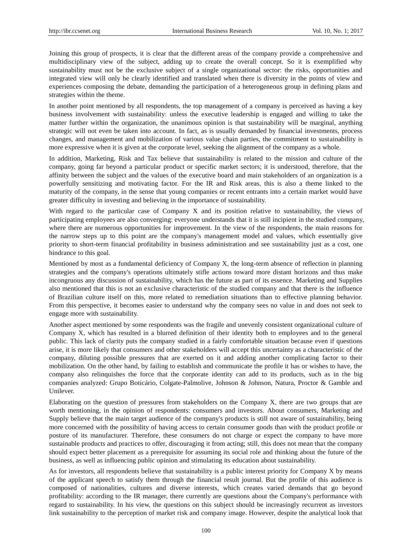Joining this group of prospects, it is clear that the different areas of the company provide a comprehensive and multidisciplinary view of the subject, adding up to create the overall concept. So it is exemplified why sustainability must not be the exclusive subject of a single organizational sector: the risks, opportunities and integrated view will only be clearly identified and translated when there is diversity in the points of view and experiences composing the debate, demanding the participation of a heterogeneous group in defining plans and strategies within the theme.

In another point mentioned by all respondents, the top management of a company is perceived as having a key business involvement with sustainability: unless the executive leadership is engaged and willing to take the matter further within the organization, the unanimous opinion is that sustainability will be marginal, anything strategic will not even be taken into account. In fact, as is usually demanded by financial investments, process changes, and management and mobilization of various value chain parties, the commitment to sustainability is more expressive when it is given at the corporate level, seeking the alignment of the company as a whole.

In addition, Marketing, Risk and Tax believe that sustainability is related to the mission and culture of the company, going far beyond a particular product or specific market sectors; it is understood, therefore, that the affinity between the subject and the values of the executive board and main stakeholders of an organization is a powerfully sensitizing and motivating factor. For the IR and Risk areas, this is also a theme linked to the maturity of the company, in the sense that young companies or recent entrants into a certain market would have greater difficulty in investing and believing in the importance of sustainability.

With regard to the particular case of Company X and its position relative to sustainability, the views of participating employees are also converging: everyone understands that it is still incipient in the studied company, where there are numerous opportunities for improvement. In the view of the respondents, the main reasons for the narrow steps up to this point are the company's management model and values, which essentially give priority to short-term financial profitability in business administration and see sustainability just as a cost, one hindrance to this goal.

Mentioned by most as a fundamental deficiency of Company X, the long-term absence of reflection in planning strategies and the company's operations ultimately stifle actions toward more distant horizons and thus make incongruous any discussion of sustainability, which has the future as part of its essence. Marketing and Supplies also mentioned that this is not an exclusive characteristic of the studied company and that there is the influence of Brazilian culture itself on this, more related to remediation situations than to effective planning behavior. From this perspective, it becomes easier to understand why the company sees no value in and does not seek to engage more with sustainability.

Another aspect mentioned by some respondents was the fragile and unevenly consistent organizational culture of Company X, which has resulted in a blurred definition of their identity both to employees and to the general public. This lack of clarity puts the company studied in a fairly comfortable situation because even if questions arise, it is more likely that consumers and other stakeholders will accept this uncertainty as a characteristic of the company, diluting possible pressures that are exerted on it and adding another complicating factor to their mobilization. On the other hand, by failing to establish and communicate the profile it has or wishes to have, the company also relinquishes the force that the corporate identity can add to its products, such as in the big companies analyzed: Grupo Boticário, Colgate-Palmolive, Johnson & Johnson, Natura, Proctor & Gamble and Unilever.

Elaborating on the question of pressures from stakeholders on the Company X, there are two groups that are worth mentioning, in the opinion of respondents: consumers and investors. About consumers, Marketing and Supply believe that the main target audience of the company's products is still not aware of sustainability, being more concerned with the possibility of having access to certain consumer goods than with the product profile or posture of its manufacturer. Therefore, these consumers do not charge or expect the company to have more sustainable products and practices to offer, discouraging it from acting; still, this does not mean that the company should expect better placement as a prerequisite for assuming its social role and thinking about the future of the business, as well as influencing public opinion and stimulating its education about sustainability.

As for investors, all respondents believe that sustainability is a public interest priority for Company X by means of the applicant speech to satisfy them through the financial result journal. But the profile of this audience is composed of nationalities, cultures and diverse interests, which creates varied demands that go beyond profitability: according to the IR manager, there currently are questions about the Company's performance with regard to sustainability. In his view, the questions on this subject should be increasingly recurrent as investors link sustainability to the perception of market risk and company image. However, despite the analytical look that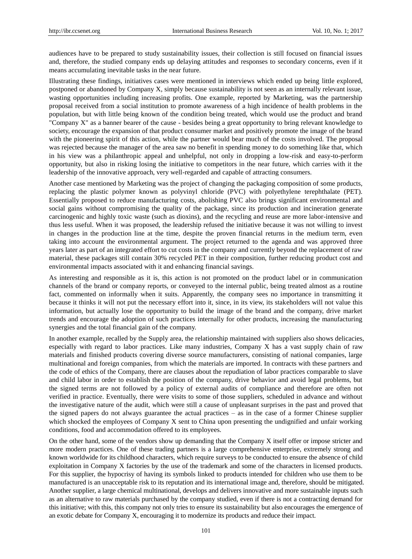audiences have to be prepared to study sustainability issues, their collection is still focused on financial issues and, therefore, the studied company ends up delaying attitudes and responses to secondary concerns, even if it means accumulating inevitable tasks in the near future.

Illustrating these findings, initiatives cases were mentioned in interviews which ended up being little explored, postponed or abandoned by Company X, simply because sustainability is not seen as an internally relevant issue, wasting opportunities including increasing profits. One example, reported by Marketing, was the partnership proposal received from a social institution to promote awareness of a high incidence of health problems in the population, but with little being known of the condition being treated, which would use the product and brand "Company X" as a banner bearer of the cause - besides being a great opportunity to bring relevant knowledge to society, encourage the expansion of that product consumer market and positively promote the image of the brand with the pioneering spirit of this action, while the partner would bear much of the costs involved. The proposal was rejected because the manager of the area saw no benefit in spending money to do something like that, which in his view was a philanthropic appeal and unhelpful, not only in dropping a low-risk and easy-to-perform opportunity, but also in risking losing the initiative to competitors in the near future, which carries with it the leadership of the innovative approach, very well-regarded and capable of attracting consumers.

Another case mentioned by Marketing was the project of changing the packaging composition of some products, replacing the plastic polymer known as polyvinyl chloride (PVC) with polyethylene terephthalate (PET). Essentially proposed to reduce manufacturing costs, abolishing PVC also brings significant environmental and social gains without compromising the quality of the package, since its production and incineration generate carcinogenic and highly toxic waste (such as dioxins), and the recycling and reuse are more labor-intensive and thus less useful. When it was proposed, the leadership refused the initiative because it was not willing to invest in changes in the production line at the time, despite the proven financial returns in the medium term, even taking into account the environmental argument. The project returned to the agenda and was approved three years later as part of an integrated effort to cut costs in the company and currently beyond the replacement of raw material, these packages still contain 30% recycled PET in their composition, further reducing product cost and environmental impacts associated with it and enhancing financial savings.

As interesting and responsible as it is, this action is not promoted on the product label or in communication channels of the brand or company reports, or conveyed to the internal public, being treated almost as a routine fact, commented on informally when it suits. Apparently, the company sees no importance in transmitting it because it thinks it will not put the necessary effort into it, since, in its view, its stakeholders will not value this information, but actually lose the opportunity to build the image of the brand and the company, drive market trends and encourage the adoption of such practices internally for other products, increasing the manufacturing synergies and the total financial gain of the company.

In another example, recalled by the Supply area, the relationship maintained with suppliers also shows delicacies, especially with regard to labor practices. Like many industries, Company X has a vast supply chain of raw materials and finished products covering diverse source manufacturers, consisting of national companies, large multinational and foreign companies, from which the materials are imported. In contracts with these partners and the code of ethics of the Company, there are clauses about the repudiation of labor practices comparable to slave and child labor in order to establish the position of the company, drive behavior and avoid legal problems, but the signed terms are not followed by a policy of external audits of compliance and therefore are often not verified in practice. Eventually, there were visits to some of those suppliers, scheduled in advance and without the investigative nature of the audit, which were still a cause of unpleasant surprises in the past and proved that the signed papers do not always guarantee the actual practices – as in the case of a former Chinese supplier which shocked the employees of Company X sent to China upon presenting the undignified and unfair working conditions, food and accommodation offered to its employees.

On the other hand, some of the vendors show up demanding that the Company X itself offer or impose stricter and more modern practices. One of these trading partners is a large comprehensive enterprise, extremely strong and known worldwide for its childhood characters, which require surveys to be conducted to ensure the absence of child exploitation in Company X factories by the use of the trademark and some of the characters in licensed products. For this supplier, the hypocrisy of having its symbols linked to products intended for children who use them to be manufactured is an unacceptable risk to its reputation and its international image and, therefore, should be mitigated. Another supplier, a large chemical multinational, develops and delivers innovative and more sustainable inputs such as an alternative to raw materials purchased by the company studied, even if there is not a contracting demand for this initiative; with this, this company not only tries to ensure its sustainability but also encourages the emergence of an exotic debate for Company X, encouraging it to modernize its products and reduce their impact.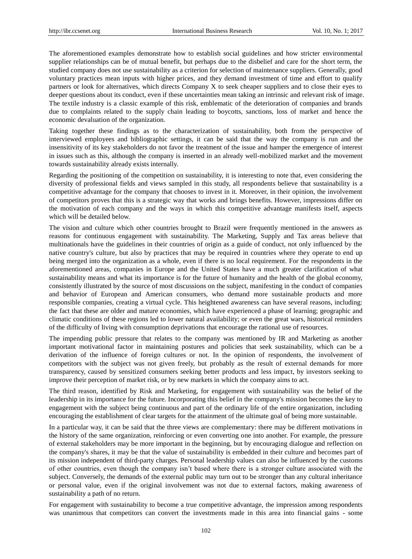The aforementioned examples demonstrate how to establish social guidelines and how stricter environmental supplier relationships can be of mutual benefit, but perhaps due to the disbelief and care for the short term, the studied company does not use sustainability as a criterion for selection of maintenance suppliers. Generally, good voluntary practices mean inputs with higher prices, and they demand investment of time and effort to qualify partners or look for alternatives, which directs Company X to seek cheaper suppliers and to close their eyes to deeper questions about its conduct, even if these uncertainties mean taking an intrinsic and relevant risk of image. The textile industry is a classic example of this risk, emblematic of the deterioration of companies and brands due to complaints related to the supply chain leading to boycotts, sanctions, loss of market and hence the economic devaluation of the organization.

Taking together these findings as to the characterization of sustainability, both from the perspective of interviewed employees and bibliographic settings, it can be said that the way the company is run and the insensitivity of its key stakeholders do not favor the treatment of the issue and hamper the emergence of interest in issues such as this, although the company is inserted in an already well-mobilized market and the movement towards sustainability already exists internally.

Regarding the positioning of the competition on sustainability, it is interesting to note that, even considering the diversity of professional fields and views sampled in this study, all respondents believe that sustainability is a competitive advantage for the company that chooses to invest in it. Moreover, in their opinion, the involvement of competitors proves that this is a strategic way that works and brings benefits. However, impressions differ on the motivation of each company and the ways in which this competitive advantage manifests itself, aspects which will be detailed below.

The vision and culture which other countries brought to Brazil were frequently mentioned in the answers as reasons for continuous engagement with sustainability. The Marketing, Supply and Tax areas believe that multinationals have the guidelines in their countries of origin as a guide of conduct, not only influenced by the native country's culture, but also by practices that may be required in countries where they operate to end up being merged into the organization as a whole, even if there is no local requirement. For the respondents in the aforementioned areas, companies in Europe and the United States have a much greater clarification of what sustainability means and what its importance is for the future of humanity and the health of the global economy, consistently illustrated by the source of most discussions on the subject, manifesting in the conduct of companies and behavior of European and American consumers, who demand more sustainable products and more responsible companies, creating a virtual cycle. This heightened awareness can have several reasons, including: the fact that these are older and mature economies, which have experienced a phase of learning; geographic and climatic conditions of these regions led to lower natural availability; or even the great wars, historical reminders of the difficulty of living with consumption deprivations that encourage the rational use of resources.

The impending public pressure that relates to the company was mentioned by IR and Marketing as another important motivational factor in maintaining postures and policies that seek sustainability, which can be a derivation of the influence of foreign cultures or not. In the opinion of respondents, the involvement of competitors with the subject was not given freely, but probably as the result of external demands for more transparency, caused by sensitized consumers seeking better products and less impact, by investors seeking to improve their perception of market risk, or by new markets in which the company aims to act.

The third reason, identified by Risk and Marketing, for engagement with sustainability was the belief of the leadership in its importance for the future. Incorporating this belief in the company's mission becomes the key to engagement with the subject being continuous and part of the ordinary life of the entire organization, including encouraging the establishment of clear targets for the attainment of the ultimate goal of being more sustainable.

In a particular way, it can be said that the three views are complementary: there may be different motivations in the history of the same organization, reinforcing or even converting one into another. For example, the pressure of external stakeholders may be more important in the beginning, but by encouraging dialogue and reflection on the company's shares, it may be that the value of sustainability is embedded in their culture and becomes part of its mission independent of third-party charges. Personal leadership values can also be influenced by the customs of other countries, even though the company isn't based where there is a stronger culture associated with the subject. Conversely, the demands of the external public may turn out to be stronger than any cultural inheritance or personal value, even if the original involvement was not due to external factors, making awareness of sustainability a path of no return.

For engagement with sustainability to become a true competitive advantage, the impression among respondents was unanimous that competitors can convert the investments made in this area into financial gains - some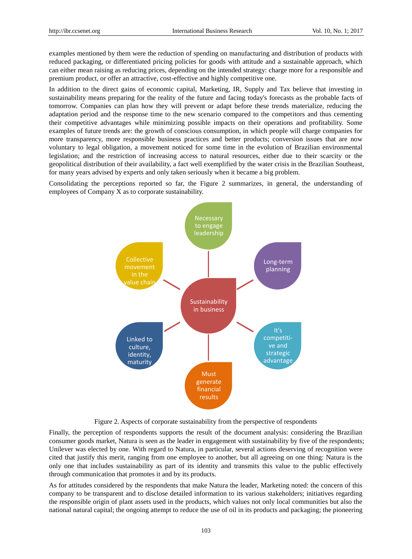examples mentioned by them were the reduction of spending on manufacturing and distribution of products with reduced packaging, or differentiated pricing policies for goods with attitude and a sustainable approach, which can either mean raising as reducing prices, depending on the intended strategy: charge more for a responsible and premium product, or offer an attractive, cost-effective and highly competitive one.

In addition to the direct gains of economic capital, Marketing, IR, Supply and Tax believe that investing in sustainability means preparing for the reality of the future and facing today's forecasts as the probable facts of tomorrow. Companies can plan how they will prevent or adapt before these trends materialize, reducing the adaptation period and the response time to the new scenario compared to the competitors and thus cementing their competitive advantages while minimizing possible impacts on their operations and profitability. Some examples of future trends are: the growth of conscious consumption, in which people will charge companies for more transparency, more responsible business practices and better products; conversion issues that are now voluntary to legal obligation, a movement noticed for some time in the evolution of Brazilian environmental legislation; and the restriction of increasing access to natural resources, either due to their scarcity or the geopolitical distribution of their availability, a fact well exemplified by the water crisis in the Brazilian Southeast, for many years advised by experts and only taken seriously when it became a big problem.

Consolidating the perceptions reported so far, the Figure 2 summarizes, in general, the understanding of employees of Company X as to corporate sustainability.



Figure 2. Aspects of corporate sustainability from the perspective of respondents

Finally, the perception of respondents supports the result of the document analysis: considering the Brazilian consumer goods market, Natura is seen as the leader in engagement with sustainability by five of the respondents; Unilever was elected by one. With regard to Natura, in particular, several actions deserving of recognition were cited that justify this merit, ranging from one employee to another, but all agreeing on one thing: Natura is the only one that includes sustainability as part of its identity and transmits this value to the public effectively through communication that promotes it and by its products.

As for attitudes considered by the respondents that make Natura the leader, Marketing noted: the concern of this company to be transparent and to disclose detailed information to its various stakeholders; initiatives regarding the responsible origin of plant assets used in the products, which values not only local communities but also the national natural capital; the ongoing attempt to reduce the use of oil in its products and packaging; the pioneering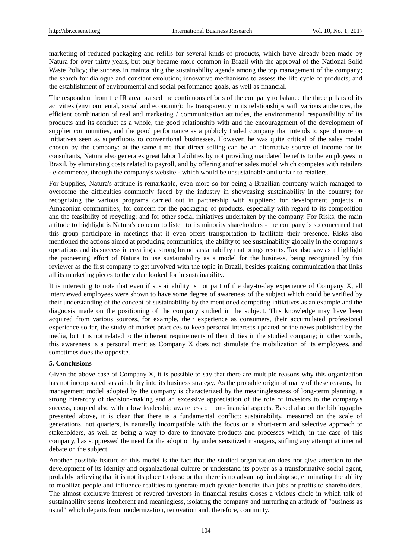marketing of reduced packaging and refills for several kinds of products, which have already been made by Natura for over thirty years, but only became more common in Brazil with the approval of the National Solid Waste Policy; the success in maintaining the sustainability agenda among the top management of the company; the search for dialogue and constant evolution; innovative mechanisms to assess the life cycle of products; and the establishment of environmental and social performance goals, as well as financial.

The respondent from the IR area praised the continuous efforts of the company to balance the three pillars of its activities (environmental, social and economic): the transparency in its relationships with various audiences, the efficient combination of real and marketing / communication attitudes, the environmental responsibility of its products and its conduct as a whole, the good relationship with and the encouragement of the development of supplier communities, and the good performance as a publicly traded company that intends to spend more on initiatives seen as superfluous to conventional businesses. However, he was quite critical of the sales model chosen by the company: at the same time that direct selling can be an alternative source of income for its consultants, Natura also generates great labor liabilities by not providing mandated benefits to the employees in Brazil, by eliminating costs related to payroll, and by offering another sales model which competes with retailers - e-commerce, through the company's website - which would be unsustainable and unfair to retailers.

For Supplies, Natura's attitude is remarkable, even more so for being a Brazilian company which managed to overcome the difficulties commonly faced by the industry in showcasing sustainability in the country; for recognizing the various programs carried out in partnership with suppliers; for development projects in Amazonian communities; for concern for the packaging of products, especially with regard to its composition and the feasibility of recycling; and for other social initiatives undertaken by the company. For Risks, the main attitude to highlight is Natura's concern to listen to its minority shareholders - the company is so concerned that this group participate in meetings that it even offers transportation to facilitate their presence. Risks also mentioned the actions aimed at producing communities, the ability to see sustainability globally in the company's operations and its success in creating a strong brand sustainability that brings results. Tax also saw as a highlight the pioneering effort of Natura to use sustainability as a model for the business, being recognized by this reviewer as the first company to get involved with the topic in Brazil, besides praising communication that links all its marketing pieces to the value looked for in sustainability.

It is interesting to note that even if sustainability is not part of the day-to-day experience of Company X, all interviewed employees were shown to have some degree of awareness of the subject which could be verified by their understanding of the concept of sustainability by the mentioned competing initiatives as an example and the diagnosis made on the positioning of the company studied in the subject. This knowledge may have been acquired from various sources, for example, their experience as consumers, their accumulated professional experience so far, the study of market practices to keep personal interests updated or the news published by the media, but it is not related to the inherent requirements of their duties in the studied company; in other words, this awareness is a personal merit as Company X does not stimulate the mobilization of its employees, and sometimes does the opposite.

#### **5. Conclusions**

Given the above case of Company X, it is possible to say that there are multiple reasons why this organization has not incorporated sustainability into its business strategy. As the probable origin of many of these reasons, the management model adopted by the company is characterized by the meaninglessness of long-term planning, a strong hierarchy of decision-making and an excessive appreciation of the role of investors to the company's success, coupled also with a low leadership awareness of non-financial aspects. Based also on the bibliography presented above, it is clear that there is a fundamental conflict: sustainability, measured on the scale of generations, not quarters, is naturally incompatible with the focus on a short-term and selective approach to stakeholders, as well as being a way to dare to innovate products and processes which, in the case of this company, has suppressed the need for the adoption by under sensitized managers, stifling any attempt at internal debate on the subject.

Another possible feature of this model is the fact that the studied organization does not give attention to the development of its identity and organizational culture or understand its power as a transformative social agent, probably believing that it is not its place to do so or that there is no advantage in doing so, eliminating the ability to mobilize people and influence realities to generate much greater benefits than jobs or profits to shareholders. The almost exclusive interest of revered investors in financial results closes a vicious circle in which talk of sustainability seems incoherent and meaningless, isolating the company and nurturing an attitude of "business as usual" which departs from modernization, renovation and, therefore, continuity.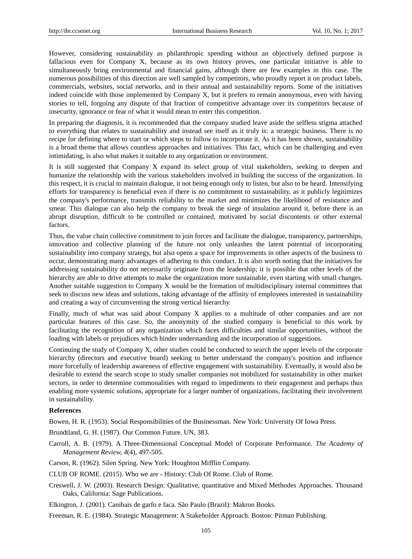However, considering sustainability as philanthropic spending without an objectively defined purpose is fallacious even for Company X, because as its own history proves, one particular initiative is able to simultaneously bring environmental and financial gains, although there are few examples in this case. The numerous possibilities of this direction are well sampled by competitors, who proudly report it on product labels, commercials, websites, social networks, and in their annual and sustainability reports. Some of the initiatives indeed coincide with those implemented by Company X, but it prefers to remain anonymous, even with having stories to tell, forgoing any dispute of that fraction of competitive advantage over its competitors because of insecurity, ignorance or fear of what it would mean to enter this competition.

In preparing the diagnosis, it is recommended that the company studied leave aside the selfless stigma attached to everything that relates to sustainability and instead see itself as it truly is: a strategic business. There is no recipe for defining where to start or which steps to follow to incorporate it. As it has been shown, sustainability is a broad theme that allows countless approaches and initiatives. This fact, which can be challenging and even intimidating, is also what makes it suitable to any organization or environment.

It is still suggested that Company X expand its select group of vital stakeholders, seeking to deepen and humanize the relationship with the various stakeholders involved in building the success of the organization. In this respect, it is crucial to maintain dialogue, it not being enough only to listen, but also to be heard. Intensifying efforts for transparency is beneficial even if there is no commitment to sustainability, as it publicly legitimizes the company's performance, transmits reliability to the market and minimizes the likelihood of resistance and smear. This dialogue can also help the company to break the siege of insulation around it, before there is an abrupt disruption, difficult to be controlled or contained, motivated by social discontents or other external factors.

Thus, the value chain collective commitment to join forces and facilitate the dialogue, transparency, partnerships, innovation and collective planning of the future not only unleashes the latent potential of incorporating sustainability into company strategy, but also opens a space for improvements in other aspects of the business to occur, demonstrating many advantages of adhering to this conduct. It is also worth noting that the initiatives for addressing sustainability do not necessarily originate from the leadership; it is possible that other levels of the hierarchy are able to drive attempts to make the organization more sustainable, even starting with small changes. Another suitable suggestion to Company X would be the formation of multidisciplinary internal committees that seek to discuss new ideas and solutions, taking advantage of the affinity of employees interested in sustainability and creating a way of circumventing the strong vertical hierarchy.

Finally, much of what was said about Company X applies to a multitude of other companies and are not particular features of this case. So, the anonymity of the studied company is beneficial to this work by facilitating the recognition of any organization which faces difficulties and similar opportunities, without the loading with labels or prejudices which hinder understanding and the incorporation of suggestions.

Continuing the study of Company X, other studies could be conducted to search the upper levels of the corporate hierarchy (directors and executive board) seeking to better understand the company's position and influence more forcefully of leadership awareness of effective engagement with sustainability. Eventually, it would also be desirable to extend the search scope to study smaller companies not mobilized for sustainability in other market sectors, in order to determine commonalities with regard to impediments to their engagement and perhaps thus enabling more systemic solutions, appropriate for a larger number of organizations, facilitating their involvement in sustainability.

#### **References**

Bowen, H. R. (1953). Social Responsibilities of the Businessman. New York: University Of Iowa Press.

Brundtland, G. H. (1987). Our Common Future. UN, 383.

- Carroll, A. B. (1979). A Three-Dimensional Conceptual Model of Corporate Performance. *The Academy of Management Review, 4*(4), 497-505.
- Carson, R. (1962). Silen Spring. New York: Houghton Mifflin Company.
- CLUB OF ROME. (2015). Who we are History: Club Of Rome. Club of Rome.
- Creswell, J. W. (2003). Research Design: Qualitative, quantitative and Mixed Methodes Approaches. Thousand Oaks, California: Sage Publications.
- Elkington, J. (2001). Canibais de garfo e faca. São Paulo (Brazil): Makron Books.
- Freeman, R. E. (1984). Strategic Management: A Stakeholder Approach. Boston: Pitman Publishing.